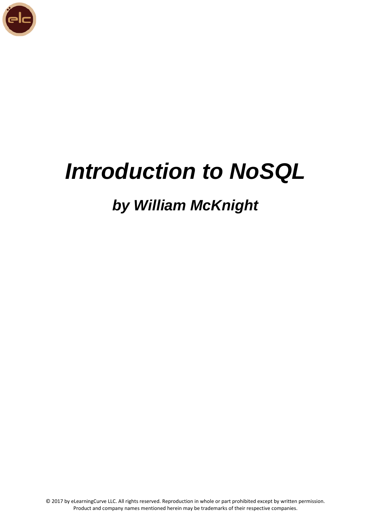

# *Introduction to NoSQL*

# *by William McKnight*

© 2017 by eLearningCurve LLC. All rights reserved. Reproduction in whole or part prohibited except by written permission. Product and company names mentioned herein may be trademarks of their respective companies.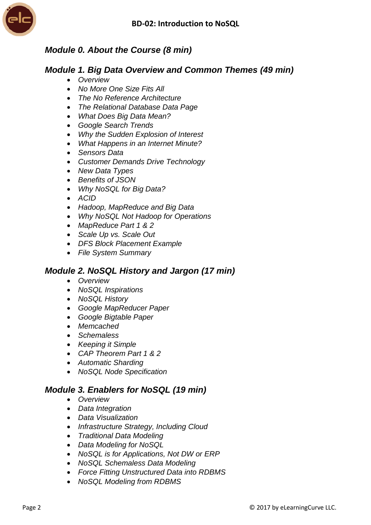

# *Module 0. About the Course (8 min)*

#### *Module 1. Big Data Overview and Common Themes (49 min)*

- *Overview*
- *No More One Size Fits All*
- *The No Reference Architecture*
- *The Relational Database Data Page*
- *What Does Big Data Mean?*
- *Google Search Trends*
- *Why the Sudden Explosion of Interest*
- *What Happens in an Internet Minute?*
- *Sensors Data*
- *Customer Demands Drive Technology*
- *New Data Types*
- *Benefits of JSON*
- *Why NoSQL for Big Data?*
- *ACID*
- *Hadoop, MapReduce and Big Data*
- *Why NoSQL Not Hadoop for Operations*
- *MapReduce Part 1 & 2*
- *Scale Up vs. Scale Out*
- *DFS Block Placement Example*
- *File System Summary*

### *Module 2. NoSQL History and Jargon (17 min)*

- *Overview*
- *NoSQL Inspirations*
- *NoSQL History*
- *Google MapReducer Paper*
- *Google Bigtable Paper*
- *Memcached*
- *Schemaless*
- *Keeping it Simple*
- *CAP Theorem Part 1 & 2*
- *Automatic Sharding*
- *NoSQL Node Specification*

### *Module 3. Enablers for NoSQL (19 min)*

- *Overview*
- *Data Integration*
- *Data Visualization*
- *Infrastructure Strategy, Including Cloud*
- *Traditional Data Modeling*
- *Data Modeling for NoSQL*
- *NoSQL is for Applications, Not DW or ERP*
- *NoSQL Schemaless Data Modeling*
- *Force Fitting Unstructured Data into RDBMS*
- *NoSQL Modeling from RDBMS*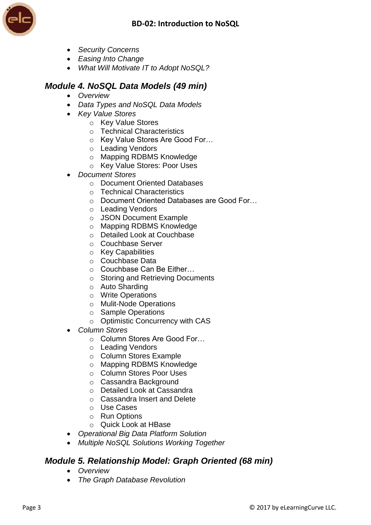

- *Security Concerns*
- *Easing Into Change*
- *What Will Motivate IT to Adopt NoSQL?*

## *Module 4. NoSQL Data Models (49 min)*

- *Overview*
- *Data Types and NoSQL Data Models*
- *Key Value Stores*
	- o Key Value Stores
	- o Technical Characteristics
	- o Key Value Stores Are Good For…
	- o Leading Vendors
	- o Mapping RDBMS Knowledge
	- o Key Value Stores: Poor Uses
- *Document Stores*
	- o Document Oriented Databases
	- o Technical Characteristics
	- o Document Oriented Databases are Good For…
	- o Leading Vendors
	- o JSON Document Example
	- o Mapping RDBMS Knowledge
	- o Detailed Look at Couchbase
	- o Couchbase Server
	- o Key Capabilities
	- o Couchbase Data
	- o Couchbase Can Be Either…
	- o Storing and Retrieving Documents
	- o Auto Sharding
	- o Write Operations
	- o Mulit-Node Operations
	- o Sample Operations
	- o Optimistic Concurrency with CAS
- *Column Stores*
	- o Column Stores Are Good For…
	- o Leading Vendors
	- o Column Stores Example
	- o Mapping RDBMS Knowledge
	- o Column Stores Poor Uses
	- o Cassandra Background
	- o Detailed Look at Cassandra
	- o Cassandra Insert and Delete
	- o Use Cases
	- o Run Options
	- o Quick Look at HBase
- *Operational Big Data Platform Solution*
- *Multiple NoSQL Solutions Working Together*

### *Module 5. Relationship Model: Graph Oriented (68 min)*

- *Overview*
- *The Graph Database Revolution*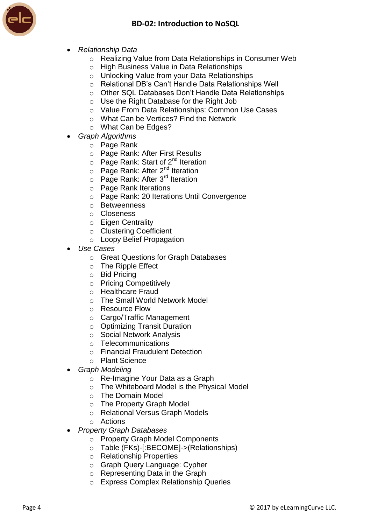



- *Relationship Data*
	- o Realizing Value from Data Relationships in Consumer Web
	- o High Business Value in Data Relationships
	- o Unlocking Value from your Data Relationships
	- o Relational DB's Can't Handle Data Relationships Well
	- o Other SQL Databases Don't Handle Data Relationships
	- o Use the Right Database for the Right Job
	- o Value From Data Relationships: Common Use Cases
	- o What Can be Vertices? Find the Network
	- o What Can be Edges?
- *Graph Algorithms*
	- o Page Rank
	- o Page Rank: After First Results
	- $\circ$  Page Rank: Start of 2<sup>nd</sup> Iteration
	- $\circ$  Page Rank: After 2<sup>nd</sup> Iteration
	- $\circ$  Page Rank: After 3<sup>rd</sup> Iteration
	- o Page Rank Iterations
	- o Page Rank: 20 Iterations Until Convergence
	- o Betweenness
	- o Closeness
	- o Eigen Centrality
	- o Clustering Coefficient
	- o Loopy Belief Propagation
- *Use Cases*
	- o Great Questions for Graph Databases
	- o The Ripple Effect
	- o Bid Pricing
	- o Pricing Competitively
	- o Healthcare Fraud
	- o The Small World Network Model
	- o Resource Flow
	- o Cargo/Traffic Management
	- o Optimizing Transit Duration
	- o Social Network Analysis
	- o Telecommunications
	- o Financial Fraudulent Detection
	- o Plant Science
- *Graph Modeling*
	- o Re-Imagine Your Data as a Graph
	- o The Whiteboard Model is the Physical Model
	- o The Domain Model
	- o The Property Graph Model
	- o Relational Versus Graph Models
	- o Actions
- *Property Graph Databases*
	- o Property Graph Model Components
	- o Table (FKs)-[:BECOME]->(Relationships)
	- o Relationship Properties
	- o Graph Query Language: Cypher
	- o Representing Data in the Graph
	- o Express Complex Relationship Queries